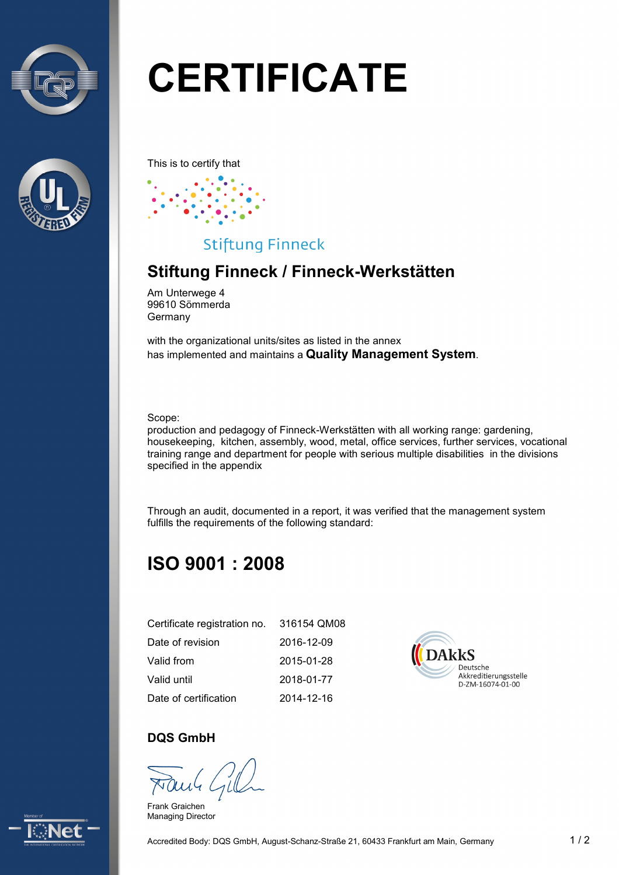



# **CERTIFICATE**

This is to certify that



## **Stiftung Finneck**

# **Stiftung Finneck / Finneck-Werkstätten**

Am Unterwege 4 99610 Sömmerda Germany

with the organizational units/sites as listed in the annex has implemented and maintains a **Quality Management System**.

Scope:

production and pedagogy of Finneck-Werkstätten with all working range: gardening, housekeeping, kitchen, assembly, wood, metal, office services, further services, vocational training range and department for people with serious multiple disabilities in the divisions specified in the appendix

Through an audit, documented in a report, it was verified that the management system fulfills the requirements of the following standard:

# **ISO 9001 : 2008**

| Certificate registration no. | 316154 QM08 |
|------------------------------|-------------|
| Date of revision             | 2016-12-09  |
| Valid from                   | 2015-01-28  |
| Valid until                  | 2018-01-77  |
| Date of certification        | 2014-12-16  |



#### **DQS GmbH**

Frank Graichen Managing Director